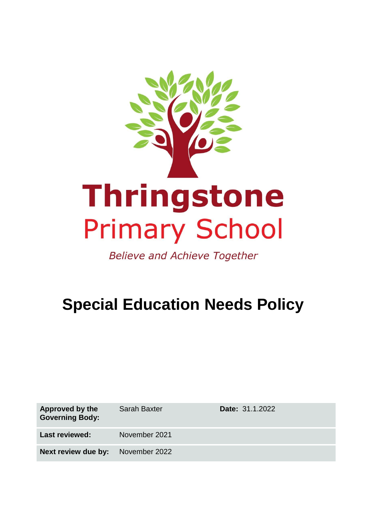

**Believe and Achieve Together** 

# **Special Education Needs Policy**

| Approved by the<br><b>Governing Body:</b> | <b>Sarah Baxter</b> | <b>Date: 31.1.2022</b> |
|-------------------------------------------|---------------------|------------------------|
| <b>Last reviewed:</b>                     | November 2021       |                        |
| Next review due by:                       | November 2022       |                        |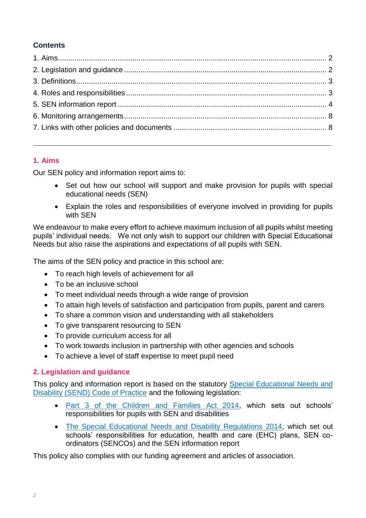# **Contents**

# <span id="page-1-0"></span>**1. Aims**

Our SEN policy and information report aims to:

- Set out how our school will support and make provision for pupils with special educational needs (SEN)
- Explain the roles and responsibilities of everyone involved in providing for pupils with SEN

We endeavour to make every effort to achieve maximum inclusion of all pupils whilst meeting pupils' individual needs. We not only wish to support our children with Special Educational Needs but also raise the aspirations and expectations of all pupils with SEN.

The aims of the SEN policy and practice in this school are:

- To reach high levels of achievement for all
- To be an inclusive school
- To meet individual needs through a wide range of provision
- To attain high levels of satisfaction and participation from pupils, parent and carers
- To share a common vision and understanding with all stakeholders
- To give transparent resourcing to SEN
- To provide curriculum access for all
- To work towards inclusion in partnership with other agencies and schools
- To achieve a level of staff expertise to meet pupil need

## <span id="page-1-1"></span>**2. Legislation and guidance**

This policy and information report is based on the statutory [Special Educational Needs and](https://www.gov.uk/government/uploads/system/uploads/attachment_data/file/398815/SEND_Code_of_Practice_January_2015.pdf)  [Disability \(SEND\) Code of Practice](https://www.gov.uk/government/uploads/system/uploads/attachment_data/file/398815/SEND_Code_of_Practice_January_2015.pdf) and the following legislation:

- [Part 3 of the Children and Families Act 2014,](http://www.legislation.gov.uk/ukpga/2014/6/part/3) which sets out schools' responsibilities for pupils with SEN and disabilities
- [The Special Educational Needs and Disability Regulations 2014,](http://www.legislation.gov.uk/uksi/2014/1530/contents/made) which set out schools' responsibilities for education, health and care (EHC) plans, SEN coordinators (SENCOs) and the SEN information report

This policy also complies with our funding agreement and articles of association.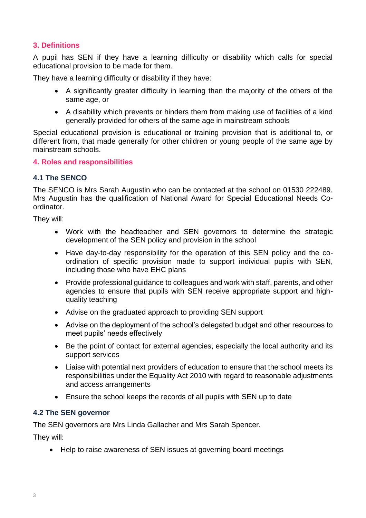## <span id="page-2-0"></span>**3. Definitions**

A pupil has SEN if they have a learning difficulty or disability which calls for special educational provision to be made for them.

They have a learning difficulty or disability if they have:

- A significantly greater difficulty in learning than the majority of the others of the same age, or
- A disability which prevents or hinders them from making use of facilities of a kind generally provided for others of the same age in mainstream schools

Special educational provision is educational or training provision that is additional to, or different from, that made generally for other children or young people of the same age by mainstream schools.

#### <span id="page-2-1"></span>**4. Roles and responsibilities**

## **4.1 The SENCO**

The SENCO is Mrs Sarah Augustin who can be contacted at the school on 01530 222489. Mrs Augustin has the qualification of National Award for Special Educational Needs Coordinator.

They will:

- Work with the headteacher and SEN governors to determine the strategic development of the SEN policy and provision in the school
- Have day-to-day responsibility for the operation of this SEN policy and the coordination of specific provision made to support individual pupils with SEN, including those who have EHC plans
- Provide professional guidance to colleagues and work with staff, parents, and other agencies to ensure that pupils with SEN receive appropriate support and highquality teaching
- Advise on the graduated approach to providing SEN support
- Advise on the deployment of the school's delegated budget and other resources to meet pupils' needs effectively
- Be the point of contact for external agencies, especially the local authority and its support services
- Liaise with potential next providers of education to ensure that the school meets its responsibilities under the Equality Act 2010 with regard to reasonable adjustments and access arrangements
- Ensure the school keeps the records of all pupils with SEN up to date

## **4.2 The SEN governor**

The SEN governors are Mrs Linda Gallacher and Mrs Sarah Spencer.

They will:

• Help to raise awareness of SEN issues at governing board meetings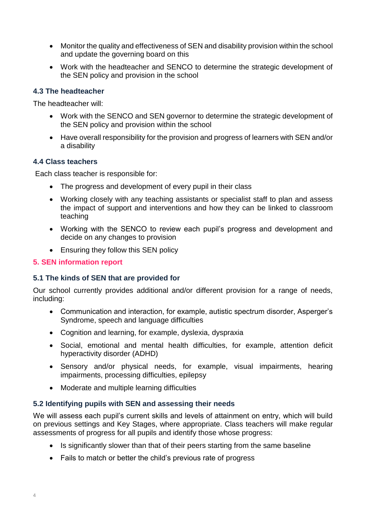- Monitor the quality and effectiveness of SEN and disability provision within the school and update the governing board on this
- Work with the headteacher and SENCO to determine the strategic development of the SEN policy and provision in the school

## **4.3 The headteacher**

The headteacher will:

- Work with the SENCO and SEN governor to determine the strategic development of the SEN policy and provision within the school
- Have overall responsibility for the provision and progress of learners with SEN and/or a disability

#### **4.4 Class teachers**

Each class teacher is responsible for:

- The progress and development of every pupil in their class
- Working closely with any teaching assistants or specialist staff to plan and assess the impact of support and interventions and how they can be linked to classroom teaching
- Working with the SENCO to review each pupil's progress and development and decide on any changes to provision
- Ensuring they follow this SEN policy

### <span id="page-3-0"></span>**5. SEN information report**

#### **5.1 The kinds of SEN that are provided for**

Our school currently provides additional and/or different provision for a range of needs, including:

- Communication and interaction, for example, autistic spectrum disorder, Asperger's Syndrome, speech and language difficulties
- Cognition and learning, for example, dyslexia, dyspraxia
- Social, emotional and mental health difficulties, for example, attention deficit hyperactivity disorder (ADHD)
- Sensory and/or physical needs, for example, visual impairments, hearing impairments, processing difficulties, epilepsy
- Moderate and multiple learning difficulties

#### **5.2 Identifying pupils with SEN and assessing their needs**

We will assess each pupil's current skills and levels of attainment on entry, which will build on previous settings and Key Stages, where appropriate. Class teachers will make regular assessments of progress for all pupils and identify those whose progress:

- Is significantly slower than that of their peers starting from the same baseline
- Fails to match or better the child's previous rate of progress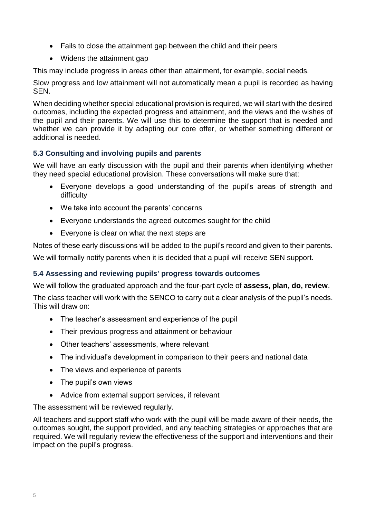- Fails to close the attainment gap between the child and their peers
- Widens the attainment gap

This may include progress in areas other than attainment, for example, social needs.

Slow progress and low attainment will not automatically mean a pupil is recorded as having SEN.

When deciding whether special educational provision is required, we will start with the desired outcomes, including the expected progress and attainment, and the views and the wishes of the pupil and their parents. We will use this to determine the support that is needed and whether we can provide it by adapting our core offer, or whether something different or additional is needed.

# **5.3 Consulting and involving pupils and parents**

We will have an early discussion with the pupil and their parents when identifying whether they need special educational provision. These conversations will make sure that:

- Everyone develops a good understanding of the pupil's areas of strength and difficulty
- We take into account the parents' concerns
- Everyone understands the agreed outcomes sought for the child
- Everyone is clear on what the next steps are

Notes of these early discussions will be added to the pupil's record and given to their parents.

We will formally notify parents when it is decided that a pupil will receive SEN support.

# **5.4 Assessing and reviewing pupils' progress towards outcomes**

We will follow the graduated approach and the four-part cycle of **assess, plan, do, review**.

The class teacher will work with the SENCO to carry out a clear analysis of the pupil's needs. This will draw on:

- The teacher's assessment and experience of the pupil
- Their previous progress and attainment or behaviour
- Other teachers' assessments, where relevant
- The individual's development in comparison to their peers and national data
- The views and experience of parents
- The pupil's own views
- Advice from external support services, if relevant

The assessment will be reviewed regularly.

All teachers and support staff who work with the pupil will be made aware of their needs, the outcomes sought, the support provided, and any teaching strategies or approaches that are required. We will regularly review the effectiveness of the support and interventions and their impact on the pupil's progress.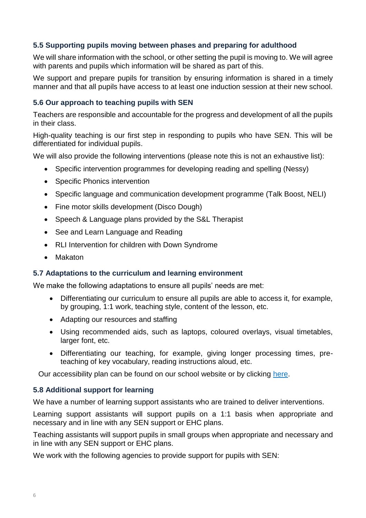## **5.5 Supporting pupils moving between phases and preparing for adulthood**

We will share information with the school, or other setting the pupil is moving to. We will agree with parents and pupils which information will be shared as part of this.

We support and prepare pupils for transition by ensuring information is shared in a timely manner and that all pupils have access to at least one induction session at their new school.

## **5.6 Our approach to teaching pupils with SEN**

Teachers are responsible and accountable for the progress and development of all the pupils in their class.

High-quality teaching is our first step in responding to pupils who have SEN. This will be differentiated for individual pupils.

We will also provide the following interventions (please note this is not an exhaustive list):

- Specific intervention programmes for developing reading and spelling (Nessy)
- Specific Phonics intervention
- Specific language and communication development programme (Talk Boost, NELI)
- Fine motor skills development (Disco Dough)
- Speech & Language plans provided by the S&L Therapist
- See and Learn Language and Reading
- RLI Intervention for children with Down Syndrome
- Makaton

#### **5.7 Adaptations to the curriculum and learning environment**

We make the following adaptations to ensure all pupils' needs are met:

- Differentiating our curriculum to ensure all pupils are able to access it, for example, by grouping, 1:1 work, teaching style, content of the lesson, etc.
- Adapting our resources and staffing
- Using recommended aids, such as laptops, coloured overlays, visual timetables, larger font, etc.
- Differentiating our teaching, for example, giving longer processing times, preteaching of key vocabulary, reading instructions aloud, etc.

Our accessibility plan can be found on our school website or by clicking [here.](https://www.thringstone.leics.sch.uk/assets/img/1225418.pdf)

#### **5.8 Additional support for learning**

We have a number of learning support assistants who are trained to deliver interventions.

Learning support assistants will support pupils on a 1:1 basis when appropriate and necessary and in line with any SEN support or EHC plans.

Teaching assistants will support pupils in small groups when appropriate and necessary and in line with any SEN support or EHC plans.

We work with the following agencies to provide support for pupils with SEN: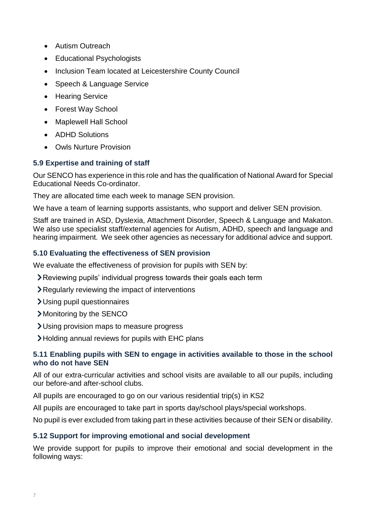- Autism Outreach
- Educational Psychologists
- Inclusion Team located at Leicestershire County Council
- Speech & Language Service
- Hearing Service
- Forest Way School
- Maplewell Hall School
- ADHD Solutions
- Owls Nurture Provision

## **5.9 Expertise and training of staff**

Our SENCO has experience in this role and has the qualification of National Award for Special Educational Needs Co-ordinator.

They are allocated time each week to manage SEN provision.

We have a team of learning supports assistants, who support and deliver SEN provision.

Staff are trained in ASD, Dyslexia, Attachment Disorder, Speech & Language and Makaton. We also use specialist staff/external agencies for Autism, ADHD, speech and language and hearing impairment. We seek other agencies as necessary for additional advice and support.

## **5.10 Evaluating the effectiveness of SEN provision**

We evaluate the effectiveness of provision for pupils with SEN by:

- Reviewing pupils' individual progress towards their goals each term
- Regularly reviewing the impact of interventions
- Using pupil questionnaires
- Monitoring by the SENCO
- Using provision maps to measure progress
- Holding annual reviews for pupils with EHC plans

## **5.11 Enabling pupils with SEN to engage in activities available to those in the school who do not have SEN**

All of our extra-curricular activities and school visits are available to all our pupils, including our before-and after-school clubs.

All pupils are encouraged to go on our various residential trip(s) in KS2

All pupils are encouraged to take part in sports day/school plays/special workshops.

No pupil is ever excluded from taking part in these activities because of their SEN or disability.

## **5.12 Support for improving emotional and social development**

We provide support for pupils to improve their emotional and social development in the following ways: